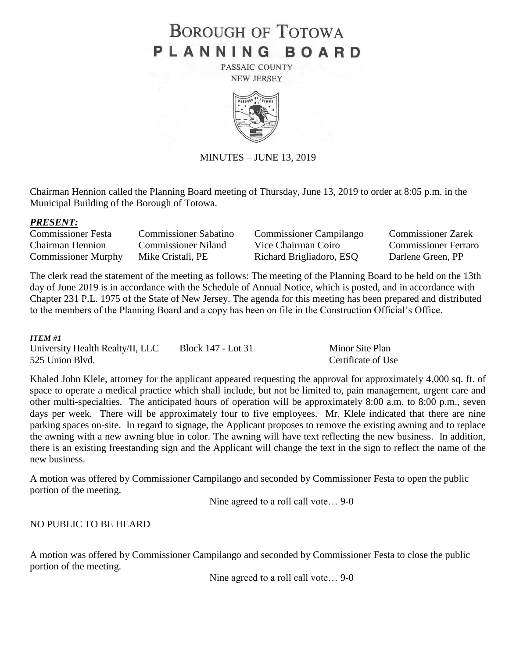# **BOROUGH OF TOTOWA** PLANNING BOARD

PASSAIC COUNTY **NEW JERSEY** 



MINUTES – JUNE 13, 2019

Chairman Hennion called the Planning Board meeting of Thursday, June 13, 2019 to order at 8:05 p.m. in the Municipal Building of the Borough of Totowa.

#### *PRESENT:*

| Commissioner Festa         | <b>Commissioner Sabatino</b> | <b>Commissioner Campilango</b> | <b>Commissioner Zarek</b>   |
|----------------------------|------------------------------|--------------------------------|-----------------------------|
| Chairman Hennion           | Commissioner Niland          | Vice Chairman Coiro            | <b>Commissioner Ferraro</b> |
| <b>Commissioner Murphy</b> | Mike Cristali, PE            | Richard Brigliadoro, ESQ       | Darlene Green, PP           |

The clerk read the statement of the meeting as follows: The meeting of the Planning Board to be held on the 13th day of June 2019 is in accordance with the Schedule of Annual Notice, which is posted, and in accordance with Chapter 231 P.L. 1975 of the State of New Jersey. The agenda for this meeting has been prepared and distributed to the members of the Planning Board and a copy has been on file in the Construction Official's Office.

#### *ITEM #1*

University Health Realty/II, LLC Block 147 - Lot 31 Minor Site Plan 525 Union Blvd. Certificate of Use

Khaled John Klele, attorney for the applicant appeared requesting the approval for approximately 4,000 sq. ft. of space to operate a medical practice which shall include, but not be limited to, pain management, urgent care and other multi-specialties. The anticipated hours of operation will be approximately 8:00 a.m. to 8:00 p.m., seven days per week. There will be approximately four to five employees. Mr. Klele indicated that there are nine parking spaces on-site. In regard to signage, the Applicant proposes to remove the existing awning and to replace the awning with a new awning blue in color. The awning will have text reflecting the new business. In addition, there is an existing freestanding sign and the Applicant will change the text in the sign to reflect the name of the new business.

A motion was offered by Commissioner Campilango and seconded by Commissioner Festa to open the public portion of the meeting.

Nine agreed to a roll call vote… 9-0

#### NO PUBLIC TO BE HEARD

A motion was offered by Commissioner Campilango and seconded by Commissioner Festa to close the public portion of the meeting.

Nine agreed to a roll call vote… 9-0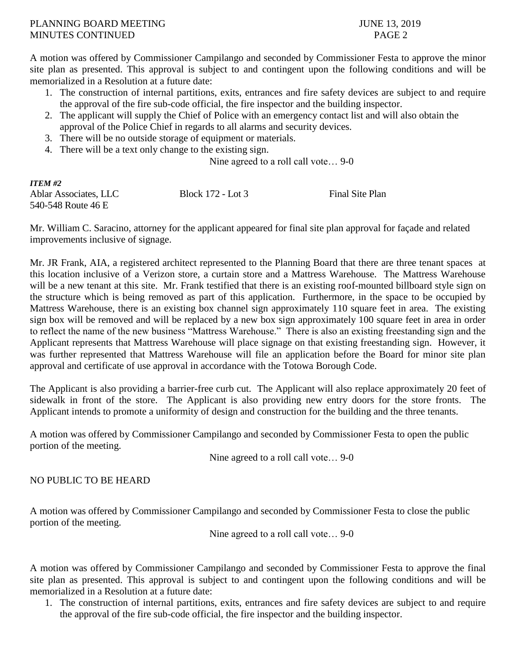### PLANNING BOARD MEETING 3, 2019 MINUTES CONTINUED PAGE 2

A motion was offered by Commissioner Campilango and seconded by Commissioner Festa to approve the minor site plan as presented. This approval is subject to and contingent upon the following conditions and will be memorialized in a Resolution at a future date:

- 1. The construction of internal partitions, exits, entrances and fire safety devices are subject to and require the approval of the fire sub-code official, the fire inspector and the building inspector.
- 2. The applicant will supply the Chief of Police with an emergency contact list and will also obtain the approval of the Police Chief in regards to all alarms and security devices.
- 3. There will be no outside storage of equipment or materials.
- 4. There will be a text only change to the existing sign.

Nine agreed to a roll call vote… 9-0

| <b>ITEM #2</b>        |                   |                 |
|-----------------------|-------------------|-----------------|
| Ablar Associates, LLC | Block 172 - Lot 3 | Final Site Plan |
| 540-548 Route 46 E    |                   |                 |

Mr. William C. Saracino, attorney for the applicant appeared for final site plan approval for façade and related improvements inclusive of signage.

Mr. JR Frank, AIA, a registered architect represented to the Planning Board that there are three tenant spaces at this location inclusive of a Verizon store, a curtain store and a Mattress Warehouse. The Mattress Warehouse will be a new tenant at this site. Mr. Frank testified that there is an existing roof-mounted billboard style sign on the structure which is being removed as part of this application. Furthermore, in the space to be occupied by Mattress Warehouse, there is an existing box channel sign approximately 110 square feet in area. The existing sign box will be removed and will be replaced by a new box sign approximately 100 square feet in area in order to reflect the name of the new business "Mattress Warehouse." There is also an existing freestanding sign and the Applicant represents that Mattress Warehouse will place signage on that existing freestanding sign. However, it was further represented that Mattress Warehouse will file an application before the Board for minor site plan approval and certificate of use approval in accordance with the Totowa Borough Code.

The Applicant is also providing a barrier-free curb cut. The Applicant will also replace approximately 20 feet of sidewalk in front of the store. The Applicant is also providing new entry doors for the store fronts. The Applicant intends to promote a uniformity of design and construction for the building and the three tenants.

A motion was offered by Commissioner Campilango and seconded by Commissioner Festa to open the public portion of the meeting.

Nine agreed to a roll call vote… 9-0

## NO PUBLIC TO BE HEARD

A motion was offered by Commissioner Campilango and seconded by Commissioner Festa to close the public portion of the meeting.

Nine agreed to a roll call vote… 9-0

A motion was offered by Commissioner Campilango and seconded by Commissioner Festa to approve the final site plan as presented. This approval is subject to and contingent upon the following conditions and will be memorialized in a Resolution at a future date:

1. The construction of internal partitions, exits, entrances and fire safety devices are subject to and require the approval of the fire sub-code official, the fire inspector and the building inspector.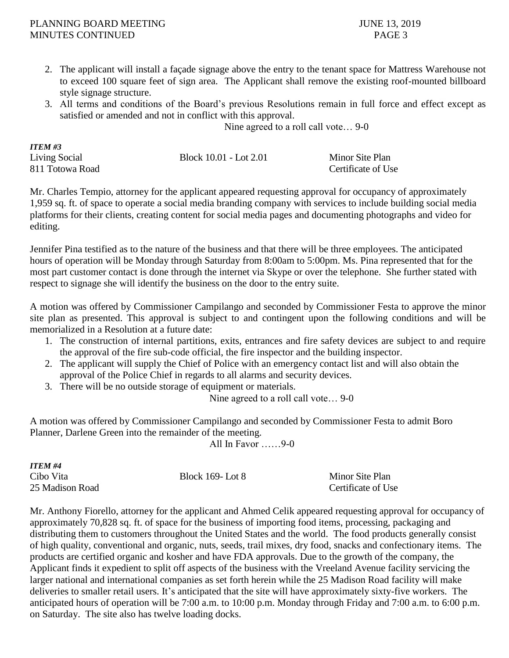#### PLANNING BOARD MEETING 3.2019 MINUTES CONTINUED PAGE 3

*ITEM #3*

- 2. The applicant will install a façade signage above the entry to the tenant space for Mattress Warehouse not to exceed 100 square feet of sign area. The Applicant shall remove the existing roof-mounted billboard style signage structure.
- 3. All terms and conditions of the Board's previous Resolutions remain in full force and effect except as satisfied or amended and not in conflict with this approval.

Nine agreed to a roll call vote… 9-0

| 11 EM #3        |                        |                    |
|-----------------|------------------------|--------------------|
| Living Social   | Block 10.01 - Lot 2.01 | Minor Site Plan    |
| 811 Totowa Road |                        | Certificate of Use |

Mr. Charles Tempio, attorney for the applicant appeared requesting approval for occupancy of approximately 1,959 sq. ft. of space to operate a social media branding company with services to include building social media platforms for their clients, creating content for social media pages and documenting photographs and video for editing.

Jennifer Pina testified as to the nature of the business and that there will be three employees. The anticipated hours of operation will be Monday through Saturday from 8:00am to 5:00pm. Ms. Pina represented that for the most part customer contact is done through the internet via Skype or over the telephone. She further stated with respect to signage she will identify the business on the door to the entry suite.

A motion was offered by Commissioner Campilango and seconded by Commissioner Festa to approve the minor site plan as presented. This approval is subject to and contingent upon the following conditions and will be memorialized in a Resolution at a future date:

- 1. The construction of internal partitions, exits, entrances and fire safety devices are subject to and require the approval of the fire sub-code official, the fire inspector and the building inspector.
- 2. The applicant will supply the Chief of Police with an emergency contact list and will also obtain the approval of the Police Chief in regards to all alarms and security devices.
- 3. There will be no outside storage of equipment or materials.

Nine agreed to a roll call vote… 9-0

A motion was offered by Commissioner Campilango and seconded by Commissioner Festa to admit Boro Planner, Darlene Green into the remainder of the meeting.

All In Favor ……9-0

| ITEM #4         |                  |                    |
|-----------------|------------------|--------------------|
| Cibo Vita       | Block 169- Lot 8 | Minor Site Plan    |
| 25 Madison Road |                  | Certificate of Use |

Mr. Anthony Fiorello, attorney for the applicant and Ahmed Celik appeared requesting approval for occupancy of approximately 70,828 sq. ft. of space for the business of importing food items, processing, packaging and distributing them to customers throughout the United States and the world. The food products generally consist of high quality, conventional and organic, nuts, seeds, trail mixes, dry food, snacks and confectionary items. The products are certified organic and kosher and have FDA approvals. Due to the growth of the company, the Applicant finds it expedient to split off aspects of the business with the Vreeland Avenue facility servicing the larger national and international companies as set forth herein while the 25 Madison Road facility will make deliveries to smaller retail users. It's anticipated that the site will have approximately sixty-five workers. The anticipated hours of operation will be 7:00 a.m. to 10:00 p.m. Monday through Friday and 7:00 a.m. to 6:00 p.m. on Saturday. The site also has twelve loading docks.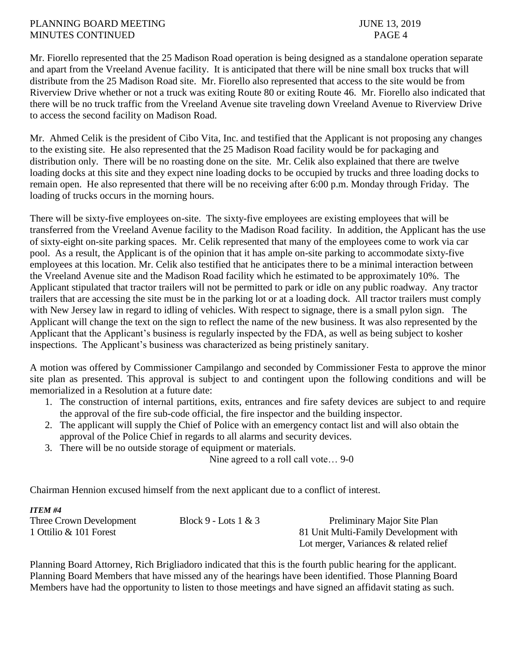### PLANNING BOARD MEETING 3, 2019 MINUTES CONTINUED PAGE 4

Mr. Fiorello represented that the 25 Madison Road operation is being designed as a standalone operation separate and apart from the Vreeland Avenue facility. It is anticipated that there will be nine small box trucks that will distribute from the 25 Madison Road site. Mr. Fiorello also represented that access to the site would be from Riverview Drive whether or not a truck was exiting Route 80 or exiting Route 46. Mr. Fiorello also indicated that there will be no truck traffic from the Vreeland Avenue site traveling down Vreeland Avenue to Riverview Drive to access the second facility on Madison Road.

Mr. Ahmed Celik is the president of Cibo Vita, Inc. and testified that the Applicant is not proposing any changes to the existing site. He also represented that the 25 Madison Road facility would be for packaging and distribution only. There will be no roasting done on the site. Mr. Celik also explained that there are twelve loading docks at this site and they expect nine loading docks to be occupied by trucks and three loading docks to remain open. He also represented that there will be no receiving after 6:00 p.m. Monday through Friday. The loading of trucks occurs in the morning hours.

There will be sixty-five employees on-site. The sixty-five employees are existing employees that will be transferred from the Vreeland Avenue facility to the Madison Road facility. In addition, the Applicant has the use of sixty-eight on-site parking spaces. Mr. Celik represented that many of the employees come to work via car pool. As a result, the Applicant is of the opinion that it has ample on-site parking to accommodate sixty-five employees at this location. Mr. Celik also testified that he anticipates there to be a minimal interaction between the Vreeland Avenue site and the Madison Road facility which he estimated to be approximately 10%. The Applicant stipulated that tractor trailers will not be permitted to park or idle on any public roadway. Any tractor trailers that are accessing the site must be in the parking lot or at a loading dock. All tractor trailers must comply with New Jersey law in regard to idling of vehicles. With respect to signage, there is a small pylon sign. The Applicant will change the text on the sign to reflect the name of the new business. It was also represented by the Applicant that the Applicant's business is regularly inspected by the FDA, as well as being subject to kosher inspections. The Applicant's business was characterized as being pristinely sanitary.

A motion was offered by Commissioner Campilango and seconded by Commissioner Festa to approve the minor site plan as presented. This approval is subject to and contingent upon the following conditions and will be memorialized in a Resolution at a future date:

- 1. The construction of internal partitions, exits, entrances and fire safety devices are subject to and require the approval of the fire sub-code official, the fire inspector and the building inspector.
- 2. The applicant will supply the Chief of Police with an emergency contact list and will also obtain the approval of the Police Chief in regards to all alarms and security devices.
- 3. There will be no outside storage of equipment or materials.

*ITEM #4*

Nine agreed to a roll call vote… 9-0

Chairman Hennion excused himself from the next applicant due to a conflict of interest.

| 11 L.W. #4              |                        |                                           |
|-------------------------|------------------------|-------------------------------------------|
| Three Crown Development | Block 9 - Lots $1 & 3$ | Preliminary Major Site Plan               |
| 1 Ottilio & 101 Forest  |                        | 81 Unit Multi-Family Development with     |
|                         |                        | Lot merger, Variances $\&$ related relief |

Planning Board Attorney, Rich Brigliadoro indicated that this is the fourth public hearing for the applicant. Planning Board Members that have missed any of the hearings have been identified. Those Planning Board Members have had the opportunity to listen to those meetings and have signed an affidavit stating as such.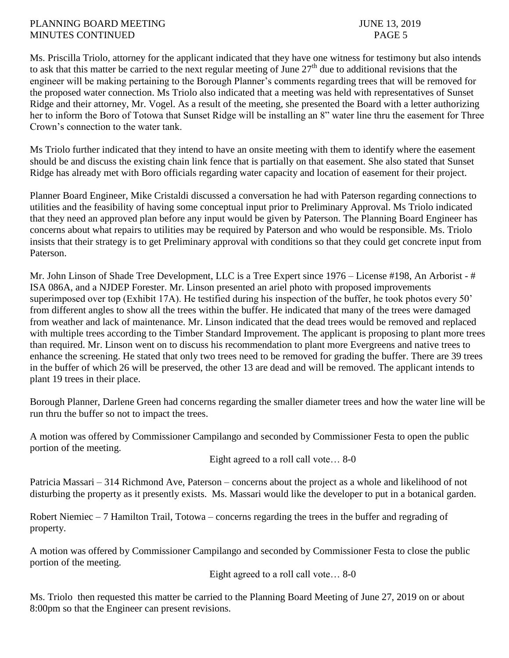### PLANNING BOARD MEETING JUNE 13, 2019 MINUTES CONTINUED PAGE 5

Ms. Priscilla Triolo, attorney for the applicant indicated that they have one witness for testimony but also intends to ask that this matter be carried to the next regular meeting of June  $27<sup>th</sup>$  due to additional revisions that the engineer will be making pertaining to the Borough Planner's comments regarding trees that will be removed for the proposed water connection. Ms Triolo also indicated that a meeting was held with representatives of Sunset Ridge and their attorney, Mr. Vogel. As a result of the meeting, she presented the Board with a letter authorizing her to inform the Boro of Totowa that Sunset Ridge will be installing an 8" water line thru the easement for Three Crown's connection to the water tank.

Ms Triolo further indicated that they intend to have an onsite meeting with them to identify where the easement should be and discuss the existing chain link fence that is partially on that easement. She also stated that Sunset Ridge has already met with Boro officials regarding water capacity and location of easement for their project.

Planner Board Engineer, Mike Cristaldi discussed a conversation he had with Paterson regarding connections to utilities and the feasibility of having some conceptual input prior to Preliminary Approval. Ms Triolo indicated that they need an approved plan before any input would be given by Paterson. The Planning Board Engineer has concerns about what repairs to utilities may be required by Paterson and who would be responsible. Ms. Triolo insists that their strategy is to get Preliminary approval with conditions so that they could get concrete input from Paterson.

Mr. John Linson of Shade Tree Development, LLC is a Tree Expert since 1976 – License #198, An Arborist - # ISA 086A, and a NJDEP Forester. Mr. Linson presented an ariel photo with proposed improvements superimposed over top (Exhibit 17A). He testified during his inspection of the buffer, he took photos every 50' from different angles to show all the trees within the buffer. He indicated that many of the trees were damaged from weather and lack of maintenance. Mr. Linson indicated that the dead trees would be removed and replaced with multiple trees according to the Timber Standard Improvement. The applicant is proposing to plant more trees than required. Mr. Linson went on to discuss his recommendation to plant more Evergreens and native trees to enhance the screening. He stated that only two trees need to be removed for grading the buffer. There are 39 trees in the buffer of which 26 will be preserved, the other 13 are dead and will be removed. The applicant intends to plant 19 trees in their place.

Borough Planner, Darlene Green had concerns regarding the smaller diameter trees and how the water line will be run thru the buffer so not to impact the trees.

A motion was offered by Commissioner Campilango and seconded by Commissioner Festa to open the public portion of the meeting.

Eight agreed to a roll call vote… 8-0

Patricia Massari – 314 Richmond Ave, Paterson – concerns about the project as a whole and likelihood of not disturbing the property as it presently exists. Ms. Massari would like the developer to put in a botanical garden.

Robert Niemiec – 7 Hamilton Trail, Totowa – concerns regarding the trees in the buffer and regrading of property.

A motion was offered by Commissioner Campilango and seconded by Commissioner Festa to close the public portion of the meeting.

Eight agreed to a roll call vote… 8-0

Ms. Triolo then requested this matter be carried to the Planning Board Meeting of June 27, 2019 on or about 8:00pm so that the Engineer can present revisions.